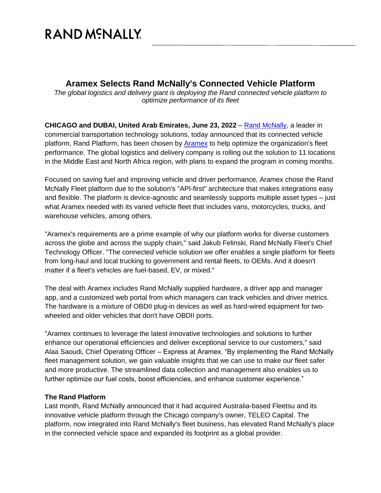## RAND MCNALLY

## **Aramex Selects Rand McNally's Connected Vehicle Platform**

*The global logistics and delivery giant is deploying the Rand connected vehicle platform to optimize performance of its fleet*

**CHICAGO and DUBAI, United Arab Emirates, June 23, 2022** – [Rand McNally,](https://www.randmcnally.com/) a leader in commercial transportation technology solutions, today announced that its connected vehicle platform, Rand Platform, has been chosen by [Aramex](https://www.aramex.com/) to help optimize the organization's fleet performance. The global logistics and delivery company is rolling out the solution to 11 locations in the Middle East and North Africa region, with plans to expand the program in coming months.

Focused on saving fuel and improving vehicle and driver performance, Aramex chose the Rand McNally Fleet platform due to the solution's "API-first" architecture that makes integrations easy and flexible. The platform is device-agnostic and seamlessly supports multiple asset types – just what Aramex needed with its varied vehicle fleet that includes vans, motorcycles, trucks, and warehouse vehicles, among others.

"Aramex's requirements are a prime example of why our platform works for diverse customers across the globe and across the supply chain," said Jakub Felinski, Rand McNally Fleet's Chief Technology Officer. "The connected vehicle solution we offer enables a single platform for fleets from long-haul and local trucking to government and rental fleets, to OEMs. And it doesn't matter if a fleet's vehicles are fuel-based, EV, or mixed."

The deal with Aramex includes Rand McNally supplied hardware, a driver app and manager app, and a customized web portal from which managers can track vehicles and driver metrics. The hardware is a mixture of OBDII plug-in devices as well as hard-wired equipment for twowheeled and older vehicles that don't have OBDII ports.

"Aramex continues to leverage the latest innovative technologies and solutions to further enhance our operational efficiencies and deliver exceptional service to our customers," said Alaa Saoudi, Chief Operating Officer – Express at Aramex. "By implementing the Rand McNally fleet management solution, we gain valuable insights that we can use to make our fleet safer and more productive. The streamlined data collection and management also enables us to further optimize our fuel costs, boost efficiencies, and enhance customer experience."

## **The Rand Platform**

Last month, Rand McNally announced that it had acquired Australia-based Fleetsu and its innovative vehicle platform through the Chicago company's owner, TELEO Capital. The platform, now integrated into Rand McNally's fleet business, has elevated Rand McNally's place in the connected vehicle space and expanded its footprint as a global provider.